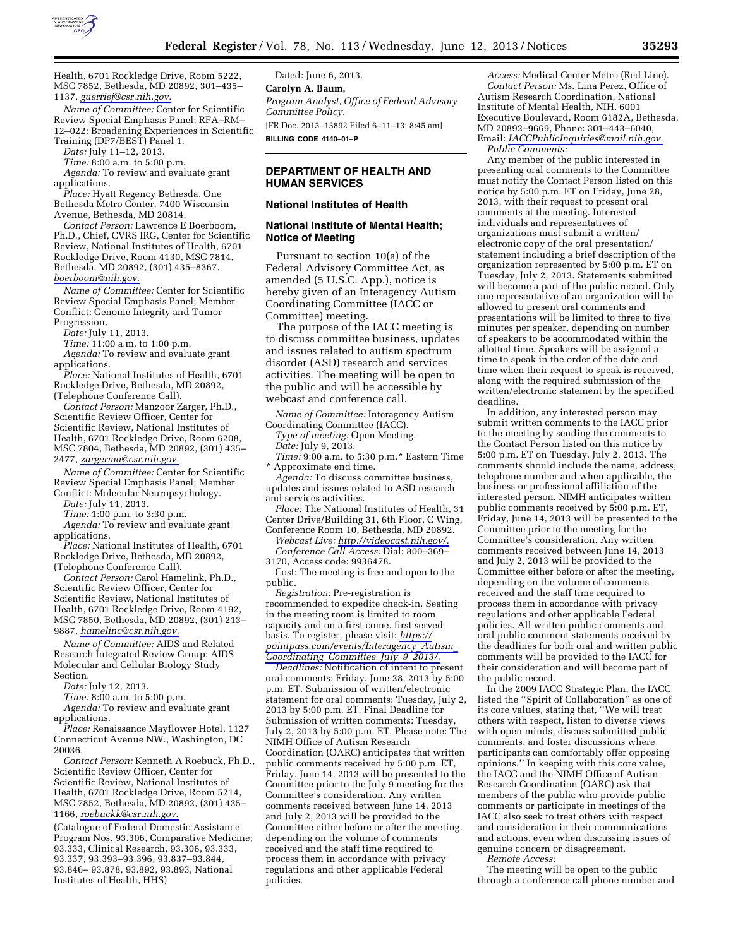

Health, 6701 Rockledge Drive, Room 5222, MSC 7852, Bethesda, MD 20892, 301–435– 1137, *[guerriej@csr.nih.gov.](mailto:guerriej@csr.nih.gov)* 

*Name of Committee:* Center for Scientific Review Special Emphasis Panel; RFA–RM– 12–022: Broadening Experiences in Scientific Training (DP7/BEST) Panel 1.

*Date:* July 11–12, 2013.

*Time:* 8:00 a.m. to 5:00 p.m.

*Agenda:* To review and evaluate grant applications.

*Place:* Hyatt Regency Bethesda, One Bethesda Metro Center, 7400 Wisconsin Avenue, Bethesda, MD 20814.

*Contact Person:* Lawrence E Boerboom, Ph.D., Chief, CVRS IRG, Center for Scientific Review, National Institutes of Health, 6701 Rockledge Drive, Room 4130, MSC 7814, Bethesda, MD 20892, (301) 435–8367, *[boerboom@nih.gov.](mailto:boerboom@nih.gov)* 

*Name of Committee:* Center for Scientific Review Special Emphasis Panel; Member Conflict: Genome Integrity and Tumor Progression.

*Date:* July 11, 2013.

*Time:* 11:00 a.m. to 1:00 p.m. *Agenda:* To review and evaluate grant

applications.

*Place:* National Institutes of Health, 6701 Rockledge Drive, Bethesda, MD 20892, (Telephone Conference Call).

*Contact Person:* Manzoor Zarger, Ph.D., Scientific Review Officer, Center for Scientific Review, National Institutes of Health, 6701 Rockledge Drive, Room 6208, MSC 7804, Bethesda, MD 20892, (301) 435– 2477, *[zargerma@csr.nih.gov.](mailto:zargerma@csr.nih.gov)* 

*Name of Committee:* Center for Scientific Review Special Emphasis Panel; Member Conflict: Molecular Neuropsychology.

*Date:* July 11, 2013.

*Time:* 1:00 p.m. to 3:30 p.m.

*Agenda:* To review and evaluate grant applications.

*Place:* National Institutes of Health, 6701 Rockledge Drive, Bethesda, MD 20892, (Telephone Conference Call).

*Contact Person:* Carol Hamelink, Ph.D., Scientific Review Officer, Center for Scientific Review, National Institutes of Health, 6701 Rockledge Drive, Room 4192, MSC 7850, Bethesda, MD 20892, (301) 213– 9887, *[hamelinc@csr.nih.gov.](mailto:hamelinc@csr.nih.gov)* 

*Name of Committee:* AIDS and Related Research Integrated Review Group; AIDS Molecular and Cellular Biology Study Section.

*Date:* July 12, 2013.

*Time:* 8:00 a.m. to 5:00 p.m.

*Agenda:* To review and evaluate grant applications.

*Place:* Renaissance Mayflower Hotel, 1127 Connecticut Avenue NW., Washington, DC 20036.

*Contact Person:* Kenneth A Roebuck, Ph.D., Scientific Review Officer, Center for Scientific Review, National Institutes of Health, 6701 Rockledge Drive, Room 5214, MSC 7852, Bethesda, MD 20892, (301) 435– 1166, *[roebuckk@csr.nih.gov.](mailto:roebuckk@csr.nih.gov)* 

(Catalogue of Federal Domestic Assistance Program Nos. 93.306, Comparative Medicine; 93.333, Clinical Research, 93.306, 93.333, 93.337, 93.393–93.396, 93.837–93.844, 93.846– 93.878, 93.892, 93.893, National Institutes of Health, HHS)

Dated: June 6, 2013. **Carolyn A. Baum,**  *Program Analyst, Office of Federal Advisory Committee Policy.*  [FR Doc. 2013–13892 Filed 6–11–13; 8:45 am] **BILLING CODE 4140–01–P** 

# **DEPARTMENT OF HEALTH AND HUMAN SERVICES**

#### **National Institutes of Health**

### **National Institute of Mental Health; Notice of Meeting**

Pursuant to section 10(a) of the Federal Advisory Committee Act, as amended (5 U.S.C. App.), notice is hereby given of an Interagency Autism Coordinating Committee (IACC or Committee) meeting.

The purpose of the IACC meeting is to discuss committee business, updates and issues related to autism spectrum disorder (ASD) research and services activities. The meeting will be open to the public and will be accessible by webcast and conference call.

*Name of Committee:* Interagency Autism Coordinating Committee (IACC).

*Type of meeting:* Open Meeting. *Date:* July 9, 2013.

*Time:* 9:00 a.m. to 5:30 p.m.\* Eastern Time \* Approximate end time.

*Agenda:* To discuss committee business, updates and issues related to ASD research and services activities.

*Place:* The National Institutes of Health, 31 Center Drive/Building 31, 6th Floor, C Wing, Conference Room 10, Bethesda, MD 20892.

*Webcast Live: [http://videocast.nih.gov/.](http://videocast.nih.gov/)* 

*Conference Call Access:* Dial: 800–369– 3170, Access code: 9936478.

Cost: The meeting is free and open to the public.

*Registration:* Pre-registration is recommended to expedite check-in. Seating in the meeting room is limited to room capacity and on a first come, first served basis. To register, please visit: *[https://](https://pointpass.com/events/Interagency_Autism_Coordinating_Committee_July_9_2013/) [pointpass.com/events/Interagency](https://pointpass.com/events/Interagency_Autism_Coordinating_Committee_July_9_2013/)*\_*Autism*\_ *[Coordinating](https://pointpass.com/events/Interagency_Autism_Coordinating_Committee_July_9_2013/)*\_*Committee*\_*July*\_*9*\_*2013/.* 

*Deadlines:* Notification of intent to present oral comments: Friday, June 28, 2013 by 5:00 p.m. ET. Submission of written/electronic statement for oral comments: Tuesday, July 2, 2013 by 5:00 p.m. ET. Final Deadline for Submission of written comments: Tuesday, July 2, 2013 by 5:00 p.m. ET. Please note: The NIMH Office of Autism Research Coordination (OARC) anticipates that written public comments received by 5:00 p.m. ET, Friday, June 14, 2013 will be presented to the Committee prior to the July 9 meeting for the Committee's consideration. Any written comments received between June 14, 2013 and July 2, 2013 will be provided to the Committee either before or after the meeting, depending on the volume of comments received and the staff time required to process them in accordance with privacy regulations and other applicable Federal policies.

*Access:* Medical Center Metro (Red Line). *Contact Person:* Ms. Lina Perez, Office of Autism Research Coordination, National Institute of Mental Health, NIH, 6001 Executive Boulevard, Room 6182A, Bethesda, MD 20892–9669, Phone: 301–443–6040, Email: *[IACCPublicInquiries@mail.nih.gov.](mailto:IACCPublicInquiries@mail.nih.gov) Public Comments:* 

Any member of the public interested in presenting oral comments to the Committee must notify the Contact Person listed on this notice by 5:00 p.m. ET on Friday, June 28, 2013, with their request to present oral comments at the meeting. Interested individuals and representatives of organizations must submit a written/ electronic copy of the oral presentation/ statement including a brief description of the organization represented by 5:00 p.m. ET on Tuesday, July 2, 2013. Statements submitted will become a part of the public record. Only one representative of an organization will be allowed to present oral comments and presentations will be limited to three to five minutes per speaker, depending on number of speakers to be accommodated within the allotted time. Speakers will be assigned a time to speak in the order of the date and time when their request to speak is received, along with the required submission of the written/electronic statement by the specified deadline.

In addition, any interested person may submit written comments to the IACC prior to the meeting by sending the comments to the Contact Person listed on this notice by 5:00 p.m. ET on Tuesday, July 2, 2013. The comments should include the name, address, telephone number and when applicable, the business or professional affiliation of the interested person. NIMH anticipates written public comments received by 5:00 p.m. ET, Friday, June 14, 2013 will be presented to the Committee prior to the meeting for the Committee's consideration. Any written comments received between June 14, 2013 and July 2, 2013 will be provided to the Committee either before or after the meeting, depending on the volume of comments received and the staff time required to process them in accordance with privacy regulations and other applicable Federal policies. All written public comments and oral public comment statements received by the deadlines for both oral and written public comments will be provided to the IACC for their consideration and will become part of the public record.

In the 2009 IACC Strategic Plan, the IACC listed the ''Spirit of Collaboration'' as one of its core values, stating that, ''We will treat others with respect, listen to diverse views with open minds, discuss submitted public comments, and foster discussions where participants can comfortably offer opposing opinions.'' In keeping with this core value, the IACC and the NIMH Office of Autism Research Coordination (OARC) ask that members of the public who provide public comments or participate in meetings of the IACC also seek to treat others with respect and consideration in their communications and actions, even when discussing issues of genuine concern or disagreement. *Remote Access:* 

The meeting will be open to the public through a conference call phone number and